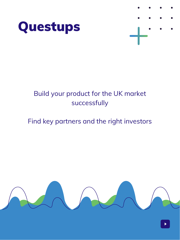



#### Build your product for the UK market successfully

#### Find key partners and the right investors

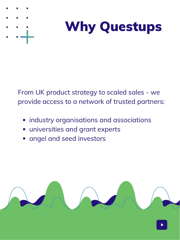



From UK product strategy to scaled sales - we provide access to a network of trusted partners:

- **•** industry organisations and associations
- universities and grant experts
- angel and seed investors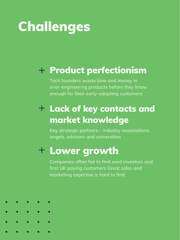# **Challenges**

### Product perfectionism

Tech founders waste time and money in over-engineering products before they know enough for their early-adopting customers

### $+$  Lack of key contacts and market knowledge

Key strategic partners - industry associations, angels, advisors and universities

### Lower growth

Companies often fail to find seed investors and first UK paying customers Great sales and marketing expertise is hard to find

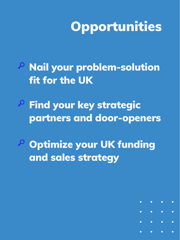# **Opportunities**

- Nail your problem-solution fit for the UK
- Find your key strategic partners and door-openers
- Optimize your UK funding and sales strategy

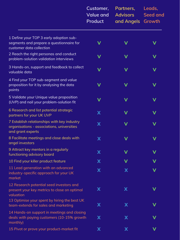|                                                                                                                 | Customer,<br><b>Value and</b><br>Product | Partners,<br><b>Advisors</b><br>and Angels | Leads,<br>Seed and<br>Growth |
|-----------------------------------------------------------------------------------------------------------------|------------------------------------------|--------------------------------------------|------------------------------|
| 1 Define your TOP 3 early adoption sub-<br>segments and prepare a questionnaire for<br>customer data collection |                                          |                                            |                              |
| 2 Reach the right personas and conduct<br>problem-solution validation interviews                                | V                                        | V                                          | V                            |
| 3 Hands-on, support and feedback to collect<br>valuable data                                                    | V                                        | V                                          | V                            |
| 4 Find your TOP sub-segment and value<br>proposition for it by analysing the data<br>points                     | V                                        | V                                          | V                            |
| 5 Validate your Unique value proposition<br>(UVP) and nail your problem-solution fit                            | V                                        | V                                          | V                            |
| 6 Research and list potential strategic<br>partners for your UK UVP                                             | X                                        | V                                          | V                            |
| 7 Establish relationships with key industry<br>organisations - associations, universities<br>and grant experts  | X                                        | V                                          | V                            |
| 8 Facilitate meetings and close deals with<br>angel investors                                                   | X                                        | V                                          | V                            |
| 9 Attract key mentors in a regularly<br>functioning advisory board                                              | X                                        |                                            | V                            |
| 10 Find your killer product feature                                                                             | X                                        |                                            |                              |
| 11 Lead generation with an advanced<br>industry-specific approach for your UK<br>market                         | X                                        | X                                          |                              |
| 12 Research potential seed investors and<br>present your key metrics to close on optimal<br>valuation           | X                                        | X                                          |                              |
| 13 Optimise your spent by hiring the best UK<br>team-extends for sales and marketing                            | X                                        | X                                          |                              |
| 14 Hands-on support in meetings and closing<br>deals with paying customers (10-15% growth<br>monthly)           | X                                        | X                                          |                              |
| 15 Pivot or prove your product-market fit                                                                       | X                                        | X                                          |                              |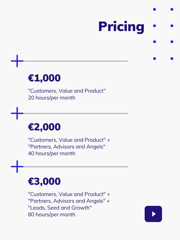# Pricing

## €1,000

"Customers, Value and Product" 20 hours/per month

### €2,000

"Customers, Value and Product" + "Partners, Advisors and Angels" 40 hours/per month

### €3,000

"Customers, Value and Product" + "Partners, Advisors and Angels" + "Leads, Seed and Growth" 80 hours/per month